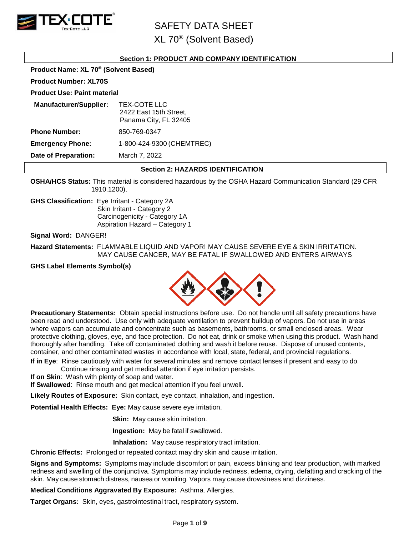

XL 70® (Solvent Based)

#### **Section 1: PRODUCT AND COMPANY IDENTIFICATION**

**Product Name: XL 70® (Solvent Based)**

**Product Number: XL70S**

**Product Use: Paint material**

| TEX-COTE LLC<br>2422 East 15th Street,<br>Panama City, FL 32405 |
|-----------------------------------------------------------------|
| 850-769-0347                                                    |
| 1-800-424-9300 (CHEMTREC)                                       |
| March 7, 2022                                                   |
|                                                                 |

#### **Section 2: HAZARDS IDENTIFICATION**

**OSHA/HCS Status:** This material is considered hazardous by the OSHA Hazard Communication Standard (29 CFR 1910.1200).

**GHS Classification:** Eye Irritant - Category 2A Skin Irritant - Category 2 Carcinogenicity - Category 1A Aspiration Hazard – Category 1

**Signal Word:** DANGER!

**Hazard Statements:** FLAMMABLE LIQUID AND VAPOR! MAY CAUSE SEVERE EYE & SKIN IRRITATION. MAY CAUSE CANCER, MAY BE FATAL IF SWALLOWED AND ENTERS AIRWAYS

**GHS Label Elements Symbol(s)**



**Precautionary Statements:** Obtain special instructions before use. Do not handle until all safety precautions have been read and understood. Use only with adequate ventilation to prevent buildup of vapors. Do not use in areas where vapors can accumulate and concentrate such as basements, bathrooms, or small enclosed areas. Wear protective clothing, gloves, eye, and face protection. Do not eat, drink or smoke when using this product. Wash hand thoroughly after handling. Take off contaminated clothing and wash it before reuse. Dispose of unused contents, container, and other contaminated wastes in accordance with local, state, federal, and provincial regulations.

**If in Eye**: Rinse cautiously with water for several minutes and remove contact lenses if present and easy to do. Continue rinsing and get medical attention if eye irritation persists.

**If on Skin**: Wash with plenty of soap and water.

**If Swallowed**: Rinse mouth and get medical attention if you feel unwell.

**Likely Routes of Exposure:** Skin contact, eye contact, inhalation, and ingestion.

**Potential Health Effects: Eye:** May cause severe eye irritation.

**Skin:** May cause skin irritation.

**Ingestion:** May be fatal if swallowed.

 **Inhalation:** May cause respiratory tract irritation.

**Chronic Effects:** Prolonged or repeated contact may dry skin and cause irritation.

**Signs and Symptoms:** Symptoms may include discomfort or pain, excess blinking and tear production, with marked redness and swelling of the conjunctiva. Symptoms may include redness, edema, drying, defatting and cracking of the skin. May cause stomach distress, nausea or vomiting. Vapors may cause drowsiness and dizziness.

**Medical Conditions Aggravated By Exposure:** Asthma. Allergies.

**Target Organs:** Skin, eyes, gastrointestinal tract, respiratory system.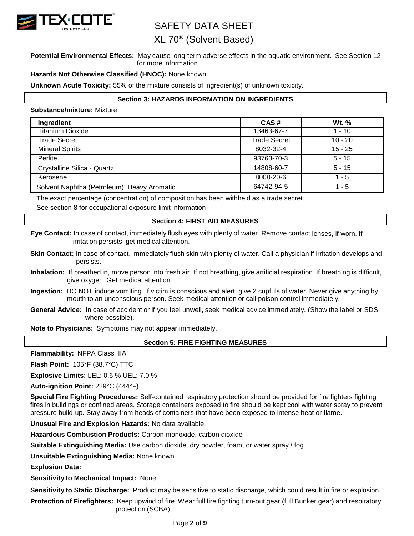

## XL 70® (Solvent Based)

**Potential Environmental Effects:** May cause long-term adverse effects in the aquatic environment. See Section 12 for more information.

#### **Hazards Not Otherwise Classified (HNOC):** None known

**Unknown Acute Toxicity:** 55% of the mixture consists of ingredient(s) of unknown toxicity.

#### **Section 3: HAZARDS INFORMATION ON INGREDIENTS**

#### **Substance/mixture:** Mixture

| Ingredient                                  | CAS#                | <b>Wt.</b> % |
|---------------------------------------------|---------------------|--------------|
| <b>Titanium Dioxide</b>                     | 13463-67-7          | $1 - 10$     |
| Trade Secret                                | <b>Trade Secret</b> | $10 - 20$    |
| <b>Mineral Spirits</b>                      | 8032-32-4           | $15 - 25$    |
| Perlite                                     | 93763-70-3          | $5 - 15$     |
| Crystalline Silica - Quartz                 | 14808-60-7          | $5 - 15$     |
| Kerosene                                    | 8008-20-6           | $1 - 5$      |
| Solvent Naphtha (Petroleum), Heavy Aromatic | 64742-94-5          | $1 - 5$      |

The exact percentage (concentration) of composition has been withheld as a trade secret. See section 8 for occupational exposure limit information

#### **Section 4: FIRST AID MEASURES**

**Eye Contact:** In case of contact, immediately flush eyes with plenty of water. Remove contact lenses, if worn. If irritation persists, get medical attention.

- **Skin Contact:** In case of contact, immediately flush skin with plenty of water. Call a physician if irritation develops and persists.
- **Inhalation:** If breathed in, move person into fresh air. If not breathing, give artificial respiration. If breathing is difficult, give oxygen. Get medical attention.
- **Ingestion:** DO NOT induce vomiting. If victim is conscious and alert, give 2 cupfuls of water. Never give anything by mouth to an unconscious person. Seek medical attention or call poison control immediately.
- **General Advice:** In case of accident or if you feel unwell, seek medical advice immediately. (Show the label or SDS where possible).

**Note to Physicians:** Symptoms may not appear immediately.

#### **Section 5: FIRE FIGHTING MEASURES**

**Flammability:** NFPA Class IIIA

**Flash Point:** 105°F (38.7°C) TTC

**Explosive Limits:** LEL: 0.6 % UEL: 7.0 %

**Auto-ignition Point:** 229°C (444°F)

**Special Fire Fighting Procedures:** Self-contained respiratory protection should be provided for fire fighters fighting fires in buildings or confined areas. Storage containers exposed to fire should be kept cool with water spray to prevent pressure build-up. Stay away from heads of containers that have been exposed to intense heat or flame.

**Unusual Fire and Explosion Hazards:** No data available.

**Hazardous Combustion Products:** Carbon monoxide, carbon dioxide

**Suitable Extinguishing Media:** Use carbon dioxide, dry powder, foam, or water spray / fog.

**Unsuitable Extinguishing Media:** None known.

**Explosion Data:**

**Sensitivity to Mechanical Impact:** None

**Sensitivity to Static Discharge:** Product may be sensitive to static discharge, which could result in fire or explosion.

**Protection of Firefighters:** Keep upwind of fire. Wear full fire fighting turn-out gear (full Bunker gear) and respiratory protection (SCBA).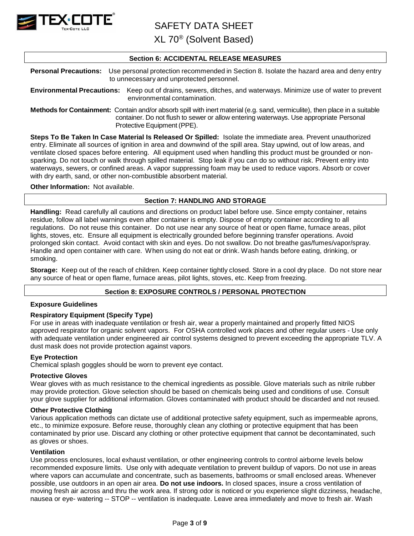

XL 70® (Solvent Based)

#### **Section 6: ACCIDENTAL RELEASE MEASURES**

**Personal Precautions:** Use personal protection recommended in Section 8. Isolate the hazard area and deny entry to unnecessary and unprotected personnel.

**Environmental Precautions:** Keep out of drains, sewers, ditches, and waterways. Minimize use of water to prevent environmental contamination.

**Methods for Containment:** Contain and/or absorb spill with inert material (e.g. sand, vermiculite), then place in a suitable container. Do not flush to sewer or allow entering waterways. Use appropriate Personal Protective Equipment (PPE).

**Steps To Be Taken In Case Material Is Released Or Spilled:** Isolate the immediate area. Prevent unauthorized entry. Eliminate all sources of ignition in area and downwind of the spill area. Stay upwind, out of low areas, and ventilate closed spaces before entering. All equipment used when handling this product must be grounded or nonsparking. Do not touch or walk through spilled material. Stop leak if you can do so without risk. Prevent entry into waterways, sewers, or confined areas. A vapor suppressing foam may be used to reduce vapors. Absorb or cover with dry earth, sand, or other non-combustible absorbent material.

#### **Other Information:** Not available.

#### **Section 7: HANDLING AND STORAGE**

**Handling:** Read carefully all cautions and directions on product label before use. Since empty container, retains residue, follow all label warnings even after container is empty. Dispose of empty container according to all regulations. Do not reuse this container. Do not use near any source of heat or open flame, furnace areas, pilot lights, stoves, etc. Ensure all equipment is electrically grounded before beginning transfer operations. Avoid prolonged skin contact. Avoid contact with skin and eyes. Do not swallow. Do not breathe gas/fumes/vapor/spray. Handle and open container with care. When using do not eat or drink. Wash hands before eating, drinking, or smoking.

**Storage:** Keep out of the reach of children. Keep container tightly closed. Store in a cool dry place. Do not store near any source of heat or open flame, furnace areas, pilot lights, stoves, etc. Keep from freezing.

#### **Section 8: EXPOSURE CONTROLS / PERSONAL PROTECTION**

#### **Exposure Guidelines**

#### **Respiratory Equipment (Specify Type)**

For use in areas with inadequate ventilation or fresh air, wear a properly maintained and properly fitted NIOS approved respirator for organic solvent vapors. For OSHA controlled work places and other regular users - Use only with adequate ventilation under engineered air control systems designed to prevent exceeding the appropriate TLV. A dust mask does not provide protection against vapors.

#### **Eye Protection**

Chemical splash goggles should be worn to prevent eye contact.

#### **Protective Gloves**

Wear gloves with as much resistance to the chemical ingredients as possible. Glove materials such as nitrile rubber may provide protection. Glove selection should be based on chemicals being used and conditions of use. Consult your glove supplier for additional information. Gloves contaminated with product should be discarded and not reused.

#### **Other Protective Clothing**

Various application methods can dictate use of additional protective safety equipment, such as impermeable aprons, etc., to minimize exposure. Before reuse, thoroughly clean any clothing or protective equipment that has been contaminated by prior use. Discard any clothing or other protective equipment that cannot be decontaminated, such as gloves or shoes.

#### **Ventilation**

Use process enclosures, local exhaust ventilation, or other engineering controls to control airborne levels below recommended exposure limits. Use only with adequate ventilation to prevent buildup of vapors. Do not use in areas where vapors can accumulate and concentrate, such as basements, bathrooms or small enclosed areas. Whenever possible, use outdoors in an open air area. **Do not use indoors.** In closed spaces, insure a cross ventilation of moving fresh air across and thru the work area. If strong odor is noticed or you experience slight dizziness, headache, nausea or eye- watering -- STOP -- ventilation is inadequate. Leave area immediately and move to fresh air. Wash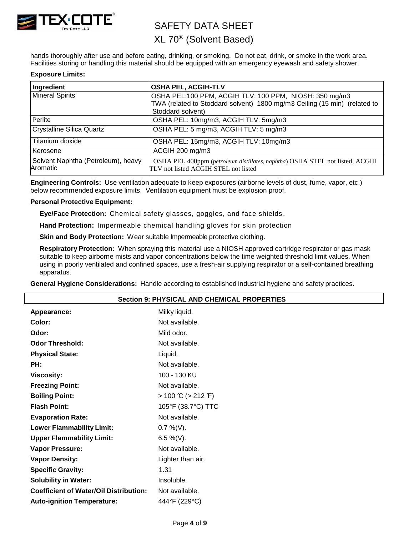

## XL 70® (Solvent Based)

hands thoroughly after use and before eating, drinking, or smoking. Do not eat, drink, or smoke in the work area. Facilities storing or handling this material should be equipped with an emergency eyewash and safety shower.

#### **Exposure Limits:**

| Ingredient                                     | <b>OSHA PEL, ACGIH-TLV</b>                                                                                           |
|------------------------------------------------|----------------------------------------------------------------------------------------------------------------------|
| <b>Mineral Spirits</b>                         | OSHA PEL:100 PPM, ACGIH TLV: 100 PPM, NIOSH: 350 mg/m3                                                               |
|                                                | TWA (related to Stoddard solvent) 1800 mg/m3 Ceiling (15 min) (related to                                            |
|                                                | Stoddard solvent)                                                                                                    |
| Perlite                                        | OSHA PEL: 10mg/m3, ACGIH TLV: 5mg/m3                                                                                 |
| Crystalline Silica Quartz                      | OSHA PEL: 5 mg/m3, ACGIH TLV: 5 mg/m3                                                                                |
| Titanium dioxide                               | OSHA PEL: 15mg/m3, ACGIH TLV: 10mg/m3                                                                                |
| Kerosene                                       | ACGIH 200 mg/m3                                                                                                      |
| Solvent Naphtha (Petroleum), heavy<br>Aromatic | OSHA PEL 400ppm (petroleum distillates, naphtha) OSHA STEL not listed, ACGIH<br>TLV not listed ACGIH STEL not listed |

**Engineering Controls:** Use ventilation adequate to keep exposures (airborne levels of dust, fume, vapor, etc.) below recommended exposure limits. Ventilation equipment must be explosion proof.

#### **Personal Protective Equipment:**

**Eye/Face Protection:** Chemical safety glasses, goggles, and face shields .

**Hand Protection:** Impermeable chemical handling gloves for skin protection

**Skin and Body Protection:** Wear suitable Impermeable protective clothing.

**Respiratory Protection:** When spraying this material use a NIOSH approved cartridge respirator or gas mask suitable to keep airborne mists and vapor concentrations below the time weighted threshold limit values. When using in poorly ventilated and confined spaces, use a fresh-air supplying respirator or a self-contained breathing apparatus.

**General Hygiene Considerations:** Handle according to established industrial hygiene and safety practices.

| <b>Section 9: PHYSICAL AND CHEMICAL PROPERTIES</b> |  |  |  |
|----------------------------------------------------|--|--|--|
| Milky liquid.                                      |  |  |  |
| Not available.                                     |  |  |  |
| Mild odor.                                         |  |  |  |
| Not available.                                     |  |  |  |
| Liquid.                                            |  |  |  |
| Not available.                                     |  |  |  |
| 100 - 130 KU                                       |  |  |  |
| Not available.                                     |  |  |  |
| $> 100 \text{ C}$ ( $> 212 \text{ F}$ )            |  |  |  |
| 105°F (38.7°C) TTC                                 |  |  |  |
| Not available.                                     |  |  |  |
| $0.7\%$ (V).                                       |  |  |  |
| 6.5 %(V).                                          |  |  |  |
| Not available.                                     |  |  |  |
| Lighter than air.                                  |  |  |  |
| 1.31                                               |  |  |  |
| Insoluble.                                         |  |  |  |
| Not available.                                     |  |  |  |
| 444°F (229°C)                                      |  |  |  |
|                                                    |  |  |  |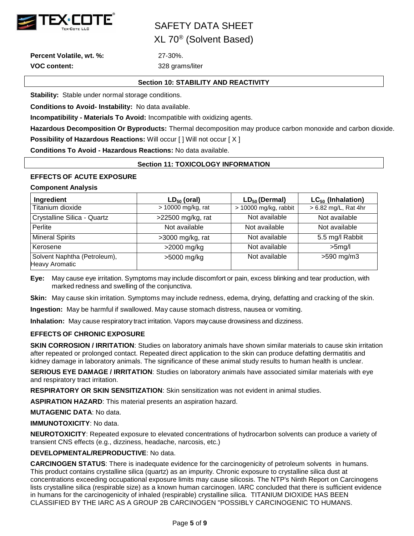

XL 70® (Solvent Based)

**Percent Volatile, wt. %:** 27-30%. **VOC content:** 328 grams/liter

#### **Section 10: STABILITY AND REACTIVITY**

**Stability:** Stable under normal storage conditions.

**Conditions to Avoid- Instability:** No data available.

**Incompatibility - Materials To Avoid:** Incompatible with oxidizing agents.

**Hazardous Decomposition Or Byproducts:** Thermal decomposition may produce carbon monoxide and carbon dioxide. **Possibility of Hazardous Reactions: Will occur [ ] Will not occur [ X ]** 

**Conditions To Avoid - Hazardous Reactions:** No data available.

#### **Section 11: TOXICOLOGY INFORMATION**

#### **EFFECTS OF ACUTE EXPOSURE**

#### **Component Analysis**

| Ingredient                                            | $LD_{50}$ (oral)   | $LD_{50}$ (Dermal)    | $LC_{50}$ (Inhalation) |
|-------------------------------------------------------|--------------------|-----------------------|------------------------|
| Titanium dioxide                                      | > 10000 mg/kg, rat | > 10000 mg/kg, rabbit | > 6.82 mg/L, Rat 4hr   |
| Crystalline Silica - Quartz                           | >22500 mg/kg, rat  | Not available         | Not available          |
| Perlite                                               | Not available      | Not available         | Not available          |
| <b>Mineral Spirits</b>                                | $>3000$ mg/kg, rat | Not available         | 5.5 mg/l Rabbit        |
| Kerosene                                              | >2000 mg/kg        | Not available         | $>5$ mg/l              |
| Solvent Naphtha (Petroleum),<br><b>Heavy Aromatic</b> | >5000 mg/kg        | Not available         | $>590$ mg/m3           |

**Eye:** May cause eye irritation. Symptoms may include discomfort or pain, excess blinking and tear production, with marked redness and swelling of the conjunctiva.

**Skin:** May cause skin irritation. Symptoms may include redness, edema, drying, defatting and cracking of the skin.

**Ingestion:** May be harmful if swallowed. May cause stomach distress, nausea or vomiting.

**Inhalation:** May cause respiratory tract irritation. Vapors maycause drowsiness and dizziness.

#### **EFFECTS OF CHRONIC EXPOSURE**

**SKIN CORROSION / IRRITATION**: Studies on laboratory animals have shown similar materials to cause skin irritation after repeated or prolonged contact. Repeated direct application to the skin can produce defatting dermatitis and kidney damage in laboratory animals. The significance of these animal study results to human health is unclear.

**SERIOUS EYE DAMAGE / IRRITATION**: Studies on laboratory animals have associated similar materials with eye and respiratory tract irritation.

**RESPIRATORY OR SKIN SENSITIZATION**: Skin sensitization was not evident in animal studies.

**ASPIRATION HAZARD**: This material presents an aspiration hazard.

**MUTAGENIC DATA**: No data.

**IMMUNOTOXICITY**: No data.

**NEUROTOXICITY**: Repeated exposure to elevated concentrations of hydrocarbon solvents can produce a variety of transient CNS effects (e.g., dizziness, headache, narcosis, etc.)

#### **DEVELOPMENTAL/REPRODUCTIVE**: No data.

**CARCINOGEN STATUS**: There is inadequate evidence for the carcinogenicity of petroleum solvents in humans. This product contains crystalline silica (quartz) as an impurity. Chronic exposure to crystalline silica dust at concentrations exceeding occupational exposure limits may cause silicosis. The NTP's Ninth Report on Carcinogens lists crystalline silica (respirable size) as a known human carcinogen. IARC concluded that there is sufficient evidence in humans for the carcinogenicity of inhaled (respirable) crystalline silica. TITANIUM DIOXIDE HAS BEEN CLASSIFIED BY THE IARC AS A GROUP 2B CARCINOGEN "POSSIBLY CARCINOGENIC TO HUMANS.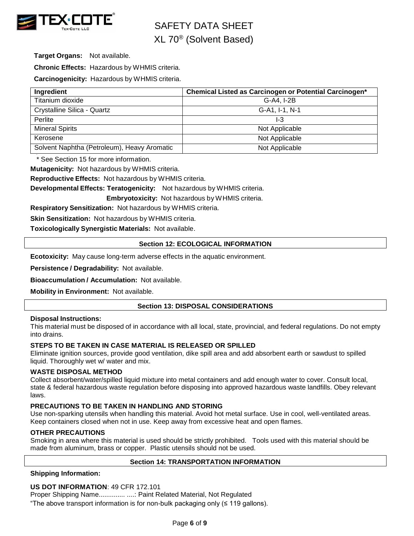

# SAFETY DATA SHEET XL 70® (Solvent Based)

**Target Organs:** Not available.

**Chronic Effects:** Hazardous by WHMIS criteria.

**Carcinogenicity:** Hazardous by WHMIS criteria.

| Ingredient                                  | Chemical Listed as Carcinogen or Potential Carcinogen* |
|---------------------------------------------|--------------------------------------------------------|
| Titanium dioxide                            | G-A4, I-2B                                             |
| Crystalline Silica - Quartz                 | G-A1, I-1, N-1                                         |
| Perlite                                     | I-3                                                    |
| <b>Mineral Spirits</b>                      | Not Applicable                                         |
| Kerosene                                    | Not Applicable                                         |
| Solvent Naphtha (Petroleum), Heavy Aromatic | Not Applicable                                         |

\* See Section 15 for more information.

**Mutagenicity:** Not hazardous by WHMIS criteria.

**Reproductive Effects:** Not hazardous by WHMIS criteria.

**Developmental Effects: Teratogenicity:** Not hazardous by WHMIS criteria.

**Embryotoxicity:** Not hazardous by WHMIS criteria.

**Respiratory Sensitization:** Not hazardous by WHMIS criteria.

**Skin Sensitization:** Not hazardous by WHMIS criteria.

**Toxicologically Synergistic Materials:** Not available.

#### **Section 12: ECOLOGICAL INFORMATION**

**Ecotoxicity:** May cause long-term adverse effects in the aquatic environment.

**Persistence / Degradability:** Not available.

**Bioaccumulation / Accumulation:** Not available.

**Mobility in Environment:** Not available.

#### **Section 13: DISPOSAL CONSIDERATIONS**

#### **Disposal Instructions:**

This material must be disposed of in accordance with all local, state, provincial, and federal regulations. Do not empty into drains.

#### **STEPS TO BE TAKEN IN CASE MATERIAL IS RELEASED OR SPILLED**

Eliminate ignition sources, provide good ventilation, dike spill area and add absorbent earth or sawdust to spilled liquid. Thoroughly wet w/ water and mix.

#### **WASTE DISPOSAL METHOD**

Collect absorbent/water/spilled liquid mixture into metal containers and add enough water to cover. Consult local, state & federal hazardous waste regulation before disposing into approved hazardous waste landfills. Obey relevant laws.

#### **PRECAUTIONS TO BE TAKEN IN HANDLING AND STORING**

Use non-sparking utensils when handling this material. Avoid hot metal surface. Use in cool, well-ventilated areas. Keep containers closed when not in use. Keep away from excessive heat and open flames.

#### **OTHER PRECAUTIONS**

Smoking in area where this material is used should be strictly prohibited. Tools used with this material should be made from aluminum, brass or copper. Plastic utensils should not be used.

#### **Section 14: TRANSPORTATION INFORMATION**

**Shipping Information:**

#### **US DOT INFORMATION**: 49 CFR 172.101

Proper Shipping Name.............. ....: Paint Related Material, Not Regulated

"The above transport information is for non-bulk packaging only (≤ 119 gallons).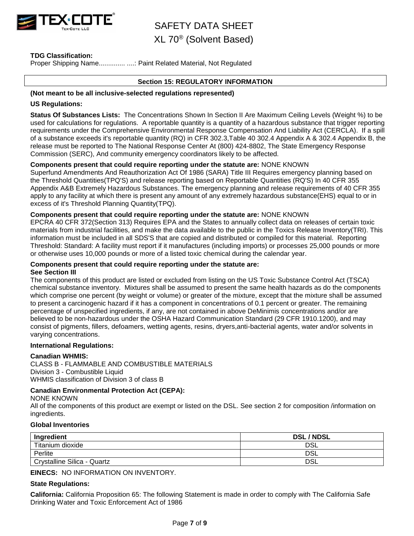

### XL 70® (Solvent Based)

#### **TDG Classification:**

Proper Shipping Name..................... ....: Paint Related Material, Not Regulated

#### **Section 15: REGULATORY INFORMATION**

#### **(Not meant to be all inclusive-selected regulations represented)**

#### **US Regulations:**

**Status Of Substances Lists:** The Concentrations Shown In Section II Are Maximum Ceiling Levels (Weight %) to be used for calculations for regulations. A reportable quantity is a quantity of a hazardous substance that trigger reporting requirements under the Comprehensive Environmental Response Compensation And Liability Act (CERCLA). If a spill of a substance exceeds it's reportable quantity (RQ) in CFR 302.3,Table 40 302.4 Appendix A & 302.4 Appendix B, the release must be reported to The National Response Center At (800) 424-8802, The State Emergency Response Commission (SERC), And community emergency coordinators likely to be affected.

#### **Components present that could require reporting under the statute are:** NONE KNOWN

Superfund Amendments And Reauthorization Act Of 1986 (SARA) Title III Requires emergency planning based on the Threshold Quantities(TPQ'S) and release reporting based on Reportable Quantities (RQ'S) In 40 CFR 355 Appendix A&B Extremely Hazardous Substances. The emergency planning and release requirements of 40 CFR 355 apply to any facility at which there is present any amount of any extremely hazardous substance(EHS) equal to or in excess of it's Threshold Planning Quantity(TPQ).

#### **Components present that could require reporting under the statute are:** NONE KNOWN

EPCRA 40 CFR 372(Section 313) Requires EPA and the States to annually collect data on releases of certain toxic materials from industrial facilities, and make the data available to the public in the Toxics Release Inventory(TRI). This information must be included in all SDS'S that are copied and distributed or compiled for this material. Reporting Threshold: Standard: A facility must report if it manufactures (including imports) or processes 25,000 pounds or more or otherwise uses 10,000 pounds or more of a listed toxic chemical during the calendar year.

#### **Components present that could require reporting under the statute are: See Section III**

The components of this product are listed or excluded from listing on the US Toxic Substance Control Act (TSCA) chemical substance inventory. Mixtures shall be assumed to present the same health hazards as do the components which comprise one percent (by weight or volume) or greater of the mixture, except that the mixture shall be assumed to present a carcinogenic hazard if it has a component in concentrations of 0.1 percent or greater. The remaining percentage of unspecified ingredients, if any, are not contained in above DeMinimis concentrations and/or are believed to be non-hazardous under the OSHA Hazard Communication Standard (29 CFR 1910.1200), and may consist of pigments, fillers, defoamers, wetting agents, resins, dryers,anti-bacterial agents, water and/or solvents in varying concentrations.

#### **International Regulations:**

#### **Canadian WHMIS:**

CLASS B - FLAMMABLE AND COMBUSTIBLE MATERIALS Division 3 - Combustible Liquid WHMIS classification of Division 3 of class B

#### **Canadian Environmental Protection Act (CEPA):**

NONE KNOWN

All of the components of this product are exempt or listed on the DSL. See section 2 for composition /information on ingredients.

#### **Global Inventories**

| Ingredient                  | <b>DSL/NDSL</b> |
|-----------------------------|-----------------|
| Titanium dioxide            | DSL             |
| Perlite                     | DSL             |
| Crystalline Silica - Quartz | DSL             |

**EINECS:** NO INFORMATION ON INVENTORY.

#### **State Regulations:**

**California:** California Proposition 65: The following Statement is made in order to comply with The California Safe Drinking Water and Toxic Enforcement Act of 1986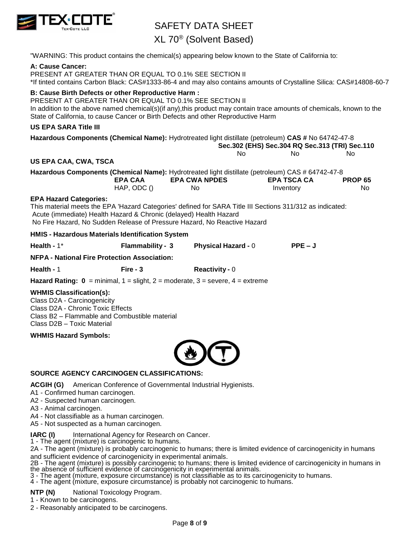

XL 70® (Solvent Based)

"WARNING: This product contains the chemical(s) appearing below known to the State of California to:

#### **A: Cause Cancer:**

PRESENT AT GREATER THAN OR EQUAL TO 0.1% SEE SECTION II \*If tinted contains Carbon Black: CAS#1333-86-4 and may also contains amounts of Crystalline Silica: CAS#14808-60-7

#### **B: Cause Birth Defects or other Reproductive Harm :**

PRESENT AT GREATER THAN OR EQUAL TO 0.1% SEE SECTION II In addition to the above named chemical(s)(if any),this product may contain trace amounts of chemicals, known to the State of California, to cause Cancer or Birth Defects and other Reproductive Harm

### **US EPA SARA Title III**

| US EPA SARA Title III         |                                                                   |                                                                                                                                                                                       |                                                |                |
|-------------------------------|-------------------------------------------------------------------|---------------------------------------------------------------------------------------------------------------------------------------------------------------------------------------|------------------------------------------------|----------------|
|                               |                                                                   | Hazardous Components (Chemical Name): Hydrotreated light distillate (petroleum) CAS # No 64742-47-8                                                                                   |                                                |                |
|                               |                                                                   |                                                                                                                                                                                       | Sec.302 (EHS) Sec.304 RQ Sec.313 (TRI) Sec.110 |                |
|                               |                                                                   | No.                                                                                                                                                                                   | No.                                            | No.            |
| US EPA CAA, CWA, TSCA         |                                                                   |                                                                                                                                                                                       |                                                |                |
|                               |                                                                   | Hazardous Components (Chemical Name): Hydrotreated light distillate (petroleum) CAS # 64742-47-8                                                                                      |                                                |                |
|                               | <b>EPA CAA</b>                                                    | <b>EPA CWA NPDES</b>                                                                                                                                                                  | <b>EPA TSCA CA</b>                             | <b>PROP 65</b> |
|                               | HAP, ODC ()                                                       | No.                                                                                                                                                                                   | Inventory                                      | No.            |
| <b>EPA Hazard Categories:</b> | Acute (immediate) Health Hazard & Chronic (delayed) Health Hazard | This material meets the EPA 'Hazard Categories' defined for SARA Title III Sections 311/312 as indicated:<br>No Fire Hazard, No Sudden Release of Pressure Hazard, No Reactive Hazard |                                                |                |
|                               | HMIS - Hazardous Materials Identification System                  |                                                                                                                                                                                       |                                                |                |
| Health - $1*$                 | Flammability - 3                                                  | <b>Physical Hazard - 0</b>                                                                                                                                                            | $PPE - J$                                      |                |
|                               | <b>NFPA - National Fire Protection Association:</b>               |                                                                                                                                                                                       |                                                |                |

**Health -** 1 **Fire - 3 Reactivity -** 0

**Hazard Rating:**  $0 = \text{minimal}$ **,**  $1 = \text{slight}$ **,**  $2 = \text{moderate}$ **,**  $3 = \text{severe}$ **,**  $4 = \text{extreme}$ 

#### **WHMIS Classification(s):**

Class D2A - Carcinogenicity Class D2A - Chronic Toxic Effects Class B2 – Flammable and Combustible material Class D2B – Toxic Material

**WHMIS Hazard Symbols:**



#### **SOURCE AGENCY CARCINOGEN CLASSIFICATIONS:**

**ACGIH (G)** American Conference of Governmental Industrial Hygienists.

A1 - Confirmed human carcinogen.

A2 - Suspected human carcinogen.

A3 - Animal carcinogen.

A4 - Not classifiable as a human carcinogen.

A5 - Not suspected as a human carcinogen.

**IARC (I)** International Agency for Research on Cancer.

1 - The agent (mixture) is carcinogenic to humans.

2A - The agent (mixture) is probably carcinogenic to humans; there is limited evidence of carcinogenicity in humans and sufficient evidence of carcinogenicity in experimental animals.

2B - The agent (mixture) is possibly carcinogenic to humans; there is limited evidence of carcinogenicity in humans in the absence of sufficient evidence of carcinogenicity in experimental animals.

3 - The agent (mixture, exposure circumstance) is not classifiable as to its carcinogenicity to humans.

4 - The agent (mixture, exposure circumstance) is probably not carcinogenic to humans.

**NTP (N)** National Toxicology Program.

1 - Known to be carcinogens.

2 - Reasonably anticipated to be carcinogens.